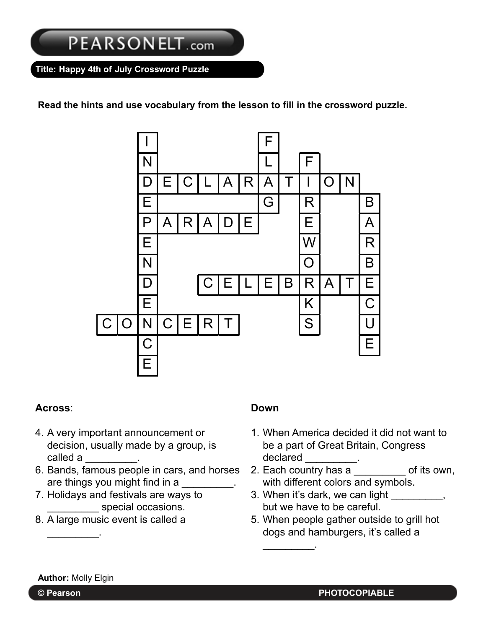# **Title: Happy 4th of July Crossword Puzzle**

**Read the hints and use vocabulary from the lesson to fill in the crossword puzzle. a**



#### **Across**:

- 4. A very important announcement or decision, usually made by a group, is called a **called** a
- 6. Bands, famous people in cars, and horses are things you might find in a
- 7. Holidays and festivals are ways to special occasions.
- 8. A large music event is called a

#### **Down**

 $\mathcal{L}=\mathcal{L}^{\mathcal{L}}$ 

- 1. When America decided it did not want to be a part of Great Britain, Congress declared \_\_\_\_\_\_\_\_\_\_.
- 2. Each country has a bof its own, with different colors and symbols.
- 3. When it's dark, we can light but we have to be careful.
- 5. When people gather outside to grill hot dogs and hamburgers, it's called a

#### **Author:** Molly Elgin

 $\overline{\phantom{a}}$  . The set of  $\overline{\phantom{a}}$  .